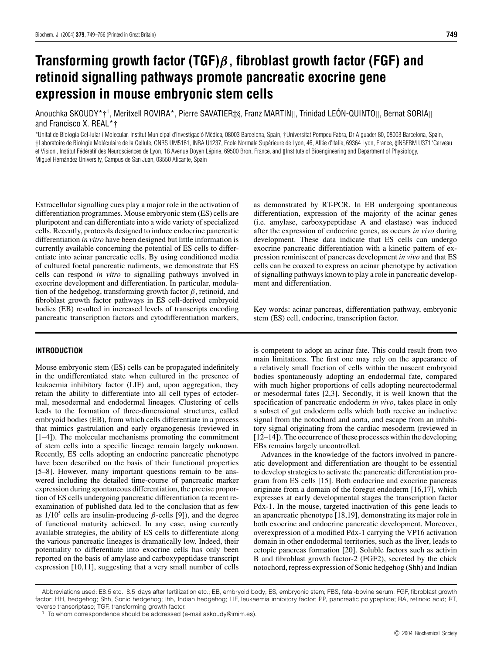# **Transforming growth factor (TGF)***β***, fibroblast growth factor (FGF) and retinoid signalling pathways promote pancreatic exocrine gene expression in mouse embryonic stem cells**

Anouchka SKOUDY\*†<sup>1</sup>, Meritxell ROVIRA\*, Pierre SAVATIER‡§, Franz MARTIN∥, Trinidad LEÓN-QUINTO∥, Bernat SORIA∥<br>. and Francisco X. REAL\*†

\*Unitat de Biologia Cel·lular i Molecular, Institut Municipal d'Investigació Mèdica, 08003 Barcelona, Spain, †Universitat Pompeu Fabra, Dr Aiguader 80, 08003 Barcelona, Spain, ‡Laboratoire de Biologie Moléculaire de la Cellule, CNRS UM5161, INRA U1237, Ecole Normale Supérieure de Lyon, 46, Allée d'Italie, 69364 Lyon, France, §INSERM U371 'Cerveau et Vision', Institut Fédératif des Neurosciences de Lyon, 18 Avenue Doyen Lépine, 69500 Bron, France, and ||Institute of Bioengineering and Department of Physiology, Miguel Hernández University, Campus de San Juan, 03550 Alicante, Spain

Extracellular signalling cues play a major role in the activation of differentiation programmes. Mouse embryonic stem (ES) cells are pluripotent and can differentiate into a wide variety of specialized cells. Recently, protocols designed to induce endocrine pancreatic differentiation *in vitro* have been designed but little information is currently available concerning the potential of ES cells to differentiate into acinar pancreatic cells. By using conditioned media of cultured foetal pancreatic rudiments, we demonstrate that ES cells can respond *in vitro* to signalling pathways involved in exocrine development and differentiation. In particular, modulation of the hedgehog, transforming growth factor *β*, retinoid, and fibroblast growth factor pathways in ES cell-derived embryoid bodies (EB) resulted in increased levels of transcripts encoding pancreatic transcription factors and cytodifferentiation markers,

## **INTRODUCTION**

Mouse embryonic stem (ES) cells can be propagated indefinitely in the undifferentiated state when cultured in the presence of leukaemia inhibitory factor (LIF) and, upon aggregation, they retain the ability to differentiate into all cell types of ectodermal, mesodermal and endodermal lineages. Clustering of cells leads to the formation of three-dimensional structures, called embryoid bodies (EB), from which cells differentiate in a process that mimics gastrulation and early organogenesis (reviewed in [1–4]). The molecular mechanisms promoting the commitment of stem cells into a specific lineage remain largely unknown. Recently, ES cells adopting an endocrine pancreatic phenotype have been described on the basis of their functional properties [5–8]. However, many important questions remain to be answered including the detailed time-course of pancreatic marker expression during spontaneous differentiation, the precise proportion of ES cells undergoing pancreatic differentiation (a recent reexamination of published data led to the conclusion that as few as  $1/10^5$  cells are insulin-producing  $\beta$ -cells [9]), and the degree of functional maturity achieved. In any case, using currently available strategies, the ability of ES cells to differentiate along the various pancreatic lineages is dramatically low. Indeed, their potentiality to differentiate into exocrine cells has only been reported on the basis of amylase and carboxypeptidase transcript expression [10,11], suggesting that a very small number of cells

as demonstrated by RT-PCR. In EB undergoing spontaneous differentiation, expression of the majority of the acinar genes (i.e. amylase, carboxypeptidase A and elastase) was induced after the expression of endocrine genes, as occurs *in vivo* during development. These data indicate that ES cells can undergo exocrine pancreatic differentiation with a kinetic pattern of expression reminiscent of pancreas development *in vivo* and that ES cells can be coaxed to express an acinar phenotype by activation of signalling pathways known to play a role in pancreatic development and differentiation.

Key words: acinar pancreas, differentiation pathway, embryonic stem (ES) cell, endocrine, transcription factor.

is competent to adopt an acinar fate. This could result from two main limitations. The first one may rely on the appearance of a relatively small fraction of cells within the nascent embryoid bodies spontaneously adopting an endodermal fate, compared with much higher proportions of cells adopting neurectodermal or mesodermal fates [2,3]. Secondly, it is well known that the specification of pancreatic endoderm *in vivo*, takes place in only a subset of gut endoderm cells which both receive an inductive signal from the notochord and aorta, and escape from an inhibitory signal originating from the cardiac mesoderm (reviewed in [12–14]). The occurrence of these processes within the developing EBs remains largely uncontrolled.

Advances in the knowledge of the factors involved in pancreatic development and differentiation are thought to be essential to develop strategies to activate the pancreatic differentiation program from ES cells [15]. Both endocrine and exocrine pancreas originate from a domain of the foregut endoderm [16,17], which expresses at early developmental stages the transcription factor Pdx-1. In the mouse, targeted inactivation of this gene leads to an apancreatic phenotype [18,19], demonstrating its major role in both exocrine and endocrine pancreatic development. Moreover, overexpression of a modified Pdx-1 carrying the VP16 activation domain in other endodermal territories, such as the liver, leads to ectopic pancreas formation [20]. Soluble factors such as activin B and fibroblast growth factor-2 (FGF2), secreted by the chick notochord, repress expression of Sonic hedgehog (Shh) and Indian

Abbreviations used: E8.5 etc., 8.5 days after fertilization etc.; EB, embryoid body; ES, embryonic stem; FBS, fetal-bovine serum; FGF, fibroblast growth factor; HH, hedgehog; Shh, Sonic hedgehog; Ihh, Indian hedgehog; LIF, leukaemia inhibitory factor; PP, pancreatic polypeptide; RA, retinoic acid; RT, reverse transcriptase; TGF, transforming growth factor.

To whom correspondence should be addressed (e-mail askoudy@imim.es).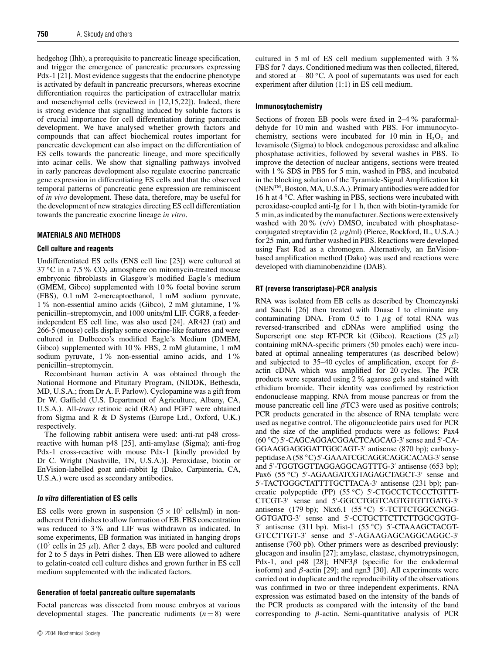hedgehog (Ihh), a prerequisite to pancreatic lineage specification, and trigger the emergence of pancreatic precursors expressing Pdx-1 [21]. Most evidence suggests that the endocrine phenotype is activated by default in pancreatic precursors, whereas exocrine differentiation requires the participation of extracellular matrix and mesenchymal cells (reviewed in [12,15,22]). Indeed, there is strong evidence that signalling induced by soluble factors is of crucial importance for cell differentiation during pancreatic development. We have analysed whether growth factors and compounds that can affect biochemical routes important for pancreatic development can also impact on the differentiation of ES cells towards the pancreatic lineage, and more specifically into acinar cells. We show that signalling pathways involved in early pancreas development also regulate exocrine pancreatic gene expression in differentiating ES cells and that the observed temporal patterns of pancreatic gene expression are reminiscent of *in vivo* development. These data, therefore, may be useful for the development of new strategies directing ES cell differentiation towards the pancreatic exocrine lineage *in vitro*.

## **MATERIALS AND METHODS**

## **Cell culture and reagents**

Undifferentiated ES cells (ENS cell line [23]) were cultured at 37 <sup>°</sup>C in a 7.5 <sup>%</sup> CO<sub>2</sub> atmosphere on mitomycin-treated mouse embryonic fibroblasts in Glasgow's modified Eagle's medium (GMEM, Gibco) supplemented with 10% foetal bovine serum (FBS), 0.1 mM 2-mercaptoethanol, 1 mM sodium pyruvate, 1% non-essential amino acids (Gibco), 2 mM glutamine, 1% penicillin–streptomycin, and 1000 units/ml LIF. CGR8, a feederindependent ES cell line, was also used [24]. AR42J (rat) and 266-5 (mouse) cells display some exocrine-like features and were cultured in Dulbecco's modified Eagle's Medium (DMEM, Gibco) supplemented with 10% FBS, 2 mM glutamine, 1 mM sodium pyruvate, 1% non-essential amino acids, and 1% penicillin–streptomycin.

Recombinant human activin A was obtained through the National Hormone and Pituitary Program, (NIDDK, Bethesda, MD, U.S.A.; from Dr A. F. Parlow). Cyclopamine was a gift from Dr W. Gaffield (U.S. Department of Agriculture, Albany, CA, U.S.A.). All-*trans* retinoic acid (RA) and FGF7 were obtained from Sigma and R & D Systems (Europe Ltd., Oxford, U.K.) respectively.

The following rabbit antisera were used: anti-rat p48 crossreactive with human p48 [25], anti-amylase (Sigma); anti-frog Pdx-1 cross-reactive with mouse Pdx-1 [kindly provided by Dr C. Wright (Nashville, TN, U.S.A.)]. Peroxidase, biotin or EnVision-labelled goat anti-rabbit Ig (Dako, Carpinteria, CA, U.S.A.) were used as secondary antibodies.

# **In vitro differentiation of ES cells**

ES cells were grown in suspension  $(5 \times 10^3 \text{ cells/ml})$  in nonadherent Petri dishes to allow formation of EB. FBS concentration was reduced to 3% and LIF was withdrawn as indicated. In some experiments, EB formation was initiated in hanging drops  $(10^3 \text{ cells in } 25 \mu\text{I})$ . After 2 days, EB were pooled and cultured for 2 to 5 days in Petri dishes. Then EB were allowed to adhere to gelatin-coated cell culture dishes and grown further in ES cell medium supplemented with the indicated factors.

# **Generation of foetal pancreatic culture supernatants**

Foetal pancreas was dissected from mouse embryos at various developmental stages. The pancreatic rudiments  $(n = 8)$  were cultured in 5 ml of ES cell medium supplemented with 3% FBS for 7 days. Conditioned medium was then collected, filtered, and stored at − 80 *◦*C. A pool of supernatants was used for each experiment after dilution (1:1) in ES cell medium.

## **Immunocytochemistry**

Sections of frozen EB pools were fixed in 2–4% paraformaldehyde for 10 min and washed with PBS. For immunocytochemistry, sections were incubated for 10 min in  $H_2O_2$  and levamisole (Sigma) to block endogenous peroxidase and alkaline phosphatase activities, followed by several washes in PBS. To improve the detection of nuclear antigens, sections were treated with 1% SDS in PBS for 5 min, washed in PBS, and incubated in the blocking solution of the Tyramide-Signal Amplification kit (NENTM, Boston, MA, U.S.A.). Primary antibodies were added for 16 h at 4 *◦*C. After washing in PBS, sections were incubated with peroxidase-coupled anti-Ig for 1 h, then with biotin-tyramide for 5 min, as indicated by the manufacturer. Sections were extensively washed with 20% (v/v) DMSO, incubated with phosphataseconjugated streptavidin (2 *µ*g/ml) (Pierce, Rockford, IL, U.S.A.) for 25 min, and further washed in PBS. Reactions were developed using Fast Red as a chromogen. Alternatively, an EnVisionbased amplification method (Dako) was used and reactions were developed with diaminobenzidine (DAB).

# **RT (reverse transcriptase)-PCR analysis**

RNA was isolated from EB cells as described by Chomczynski and Sacchi [26] then treated with Dnase I to eliminate any contaminating DNA. From  $0.5$  to  $1 \mu$ g of total RNA was reversed-transcribed and cDNAs were amplified using the Superscript one step RT-PCR kit (Gibco). Reactions  $(25 \mu l)$ containing mRNA-specific primers (50 pmoles each) were incubated at optimal annealing temperatures (as described below) and subjected to 35–40 cycles of amplification, except for *β*actin cDNA which was amplified for 20 cycles. The PCR products were separated using 2% agarose gels and stained with ethidium bromide. Their identity was confirmed by restriction endonuclease mapping. RNA from mouse pancreas or from the mouse pancreatic cell line *β*TC3 were used as positive controls; PCR products generated in the absence of RNA template were used as negative control. The oligonucleotide pairs used for PCR and the size of the amplified products were as follows: Pax4 (60 *◦*C) 5 -CAGCAGGACGGACTCAGCAG-3 sense and 5 -CA-GGAAGGAGGGATTGGCAGT-3' antisense (870 bp); carboxypeptidase A (58 *◦*C) 5 -GAAATCGCAGGCAGGCACAG-3 sense and 5'-TGGTGGTTAGGAGGCAGTTTG-3' antisense (653 bp); Pax6 (55 °C) 5'-AGAAGATCGTAGAGCTAGCT-3' sense and 5 -TACTGGGCTATTTTGCTTACA-3 antisense (231 bp); pancreatic polypeptide (PP) (55 *◦*C) 5 -CTGCCTCTCCCTGTTT-CTCGT-3 sense and 5 -GGCCTGGTCAGTGTGTTGATG-3 antisense (179 bp); Nkx6.1 (55 *◦*C) 5 -TCTTCTGGCCNGG-GGTGATG-3' sense and 5'-CCTGCTTCTTCTTGGCGGTG-3 antisense (311 bp). Mist-1 (55 *◦*C) 5 -CTAAAGCTACGT-GTCCTTGT-3' sense and 5'-AGAAGAGCAGGCAGGC-3' antisense (760 pb). Other primers were as described previously: glucagon and insulin [27]; amylase, elastase, chymotrypsinogen, Pdx-1, and p48 [28]; HNF3β (specific for the endodermal isoform) and *β*-actin [29]; and ngn3 [30]. All experiments were carried out in duplicate and the reproducibility of the observations was confirmed in two or three independent experiments. RNA expression was estimated based on the intensity of the bands of the PCR products as compared with the intensity of the band corresponding to *β*-actin. Semi-quantitative analysis of PCR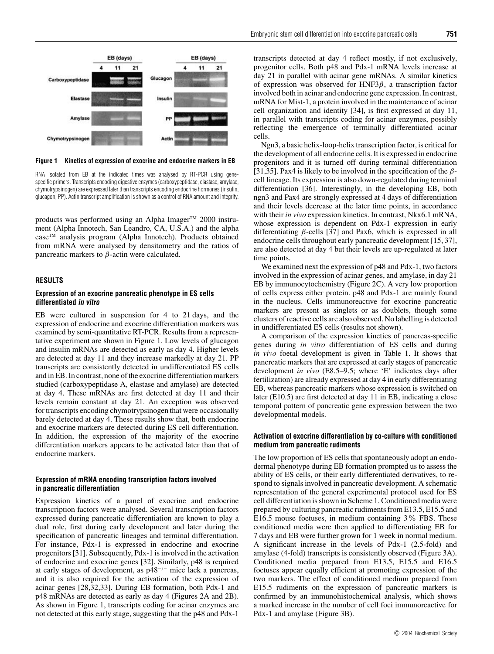

**Figure 1 Kinetics of expression of exocrine and endocrine markers in EB**

RNA isolated from EB at the indicated times was analysed by RT-PCR using genespecific primers. Transcripts encoding digestive enzymes (carboxypeptidase, elastase, amylase, chymotrypsinogen) are expressed later than transcripts encoding endocrine hormones (insulin, glucagon, PP). Actin transcript amplification is shown as a control of RNA amount and integrity.

products was performed using an Alpha Imager™ 2000 instrument (Alpha Innotech, San Leandro, CA, U.S.A.) and the alpha ease<sup>™</sup> analysis program (Alpha Innotech). Products obtained from mRNA were analysed by densitometry and the ratios of pancreatic markers to *β*-actin were calculated.

#### **RESULTS**

## **Expression of an exocrine pancreatic phenotype in ES cells differentiated in vitro**

EB were cultured in suspension for 4 to 21 days, and the expression of endocrine and exocrine differentiation markers was examined by semi-quantitative RT-PCR. Results from a representative experiment are shown in Figure 1. Low levels of glucagon and insulin mRNAs are detected as early as day 4. Higher levels are detected at day 11 and they increase markedly at day 21. PP transcripts are consistently detected in undifferentiated ES cells and in EB. In contrast, none of the exocrine differentiation markers studied (carboxypeptidase A, elastase and amylase) are detected at day 4. These mRNAs are first detected at day 11 and their levels remain constant at day 21. An exception was observed for transcripts encoding chymotrypsinogen that were occasionally barely detected at day 4. These results show that, both endocrine and exocrine markers are detected during ES cell differentiation. In addition, the expression of the majority of the exocrine differentiation markers appears to be activated later than that of endocrine markers.

## **Expression of mRNA encoding transcription factors involved in pancreatic differentiation**

Expression kinetics of a panel of exocrine and endocrine transcription factors were analysed. Several transcription factors expressed during pancreatic differentiation are known to play a dual role, first during early development and later during the specification of pancreatic lineages and terminal differentiation. For instance, Pdx-1 is expressed in endocrine and exocrine progenitors [31]. Subsequently, Pdx-1 is involved in the activation of endocrine and exocrine genes [32]. Similarly, p48 is required at early stages of development, as p48−*/*<sup>−</sup> mice lack a pancreas, and it is also required for the activation of the expression of acinar genes [28,32,33]. During EB formation, both Pdx-1 and p48 mRNAs are detected as early as day 4 (Figures 2A and 2B). As shown in Figure 1, transcripts coding for acinar enzymes are not detected at this early stage, suggesting that the p48 and Pdx-1

transcripts detected at day 4 reflect mostly, if not exclusively, progenitor cells. Both p48 and Pdx-1 mRNA levels increase at day 21 in parallel with acinar gene mRNAs. A similar kinetics of expression was observed for HNF3*β*, a transcription factor involved both in acinar and endocrine gene expression. In contrast, mRNA for Mist-1, a protein involved in the maintenance of acinar cell organization and identity [34], is first expressed at day 11, in parallel with transcripts coding for acinar enzymes, possibly reflecting the emergence of terminally differentiated acinar cells.

Ngn3, a basic helix-loop-helix transcription factor, is critical for the development of all endocrine cells. It is expressed in endocrine progenitors and it is turned off during terminal differentiation [31,35]. Pax4 is likely to be involved in the specification of the *β*cell lineage. Its expression is also down-regulated during terminal differentiation [36]. Interestingly, in the developing EB, both ngn3 and Pax4 are strongly expressed at 4 days of differentiation and their levels decrease at the later time points, in accordance with their *in vivo* expression kinetics. In contrast, Nkx6.1 mRNA, whose expression is dependent on Pdx-1 expression in early differentiating *β*-cells [37] and Pax6, which is expressed in all endocrine cells throughout early pancreatic development [15, 37], are also detected at day 4 but their levels are up-regulated at later time points.

We examined next the expression of p48 and Pdx-1, two factors involved in the expression of acinar genes, and amylase, in day 21 EB by immunocytochemistry (Figure 2C). A very low proportion of cells express either protein. p48 and Pdx-1 are mainly found in the nucleus. Cells immunoreactive for exocrine pancreatic markers are present as singlets or as doublets, though some clusters of reactive cells are also observed. No labelling is detected in undifferentiated ES cells (results not shown).

A comparison of the expression kinetics of pancreas-specific genes during *in vitro* differentiation of ES cells and during *in vivo* foetal development is given in Table 1. It shows that pancreatic markers that are expressed at early stages of pancreatic development *in vivo* (E8.5–9.5; where 'E' indicates days after fertilization) are already expressed at day 4 in early differentiating EB, whereas pancreatic markers whose expression is switched on later (E10.5) are first detected at day 11 in EB, indicating a close temporal pattern of pancreatic gene expression between the two developmental models.

## **Activation of exocrine differentiation by co-culture with conditioned medium from pancreatic rudiments**

The low proportion of ES cells that spontaneously adopt an endodermal phenotype during EB formation prompted us to assess the ability of ES cells, or their early differentiated derivatives, to respond to signals involved in pancreatic development. A schematic representation of the general experimental protocol used for ES cell differentiation is shown in Scheme 1. Conditioned media were prepared by culturing pancreatic rudiments from E13.5, E15.5 and E16.5 mouse foetuses, in medium containing 3% FBS. These conditioned media were then applied to differentiating EB for 7 days and EB were further grown for 1 week in normal medium. A significant increase in the levels of Pdx-1 (2.5-fold) and amylase (4-fold) transcripts is consistently observed (Figure 3A). Conditioned media prepared from E13.5, E15.5 and E16.5 foetuses appear equally efficient at promoting expression of the two markers. The effect of conditioned medium prepared from E15.5 rudiments on the expression of pancreatic markers is confirmed by an immunohistochemical analysis, which shows a marked increase in the number of cell foci immunoreactive for Pdx-1 and amylase (Figure 3B).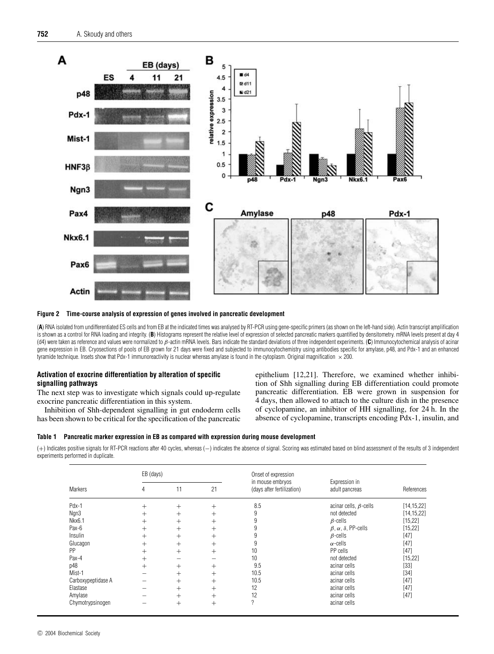



(**A**) RNA isolated from undifferentiated ES cells and from EB at the indicated times was analysed by RT-PCR using gene-specific primers (as shown on the left-hand side). Actin transcript amplification is shown as a control for RNA loading and integrity. (B) Histograms represent the relative level of expression of selected pancreatic markers quantified by densitometry. mRNA levels present at day 4 (d4) were taken as reference and values were normalized to β-actin mRNA levels. Bars indicate the standard deviations of three independent experiments. (**C**) Immunocytochemical analysis of acinar gene expression in EB. Cryosections of pools of EB grown for 21 days were fixed and subjected to immunocytochemistry using antibodies specific for amylase, p48, and Pdx-1 and an enhanced tyramide technique. Insets show that Pdx-1 immunoreactivity is nuclear whereas amylase is found in the cytoplasm. Original magnification  $\times$  200.

# **Activation of exocrine differentiation by alteration of specific signalling pathways**

The next step was to investigate which signals could up-regulate exocrine pancreatic differentiation in this system.

Inhibition of Shh-dependent signalling in gut endoderm cells has been shown to be critical for the specification of the pancreatic epithelium [12,21]. Therefore, we examined whether inhibition of Shh signalling during EB differentiation could promote pancreatic differentiation. EB were grown in suspension for 4 days, then allowed to attach to the culture dish in the presence of cyclopamine, an inhibitor of HH signalling, for 24 h. In the absence of cyclopamine, transcripts encoding Pdx-1, insulin, and

## **Table 1 Pancreatic marker expression in EB as compared with expression during mouse development**

(+) Indicates positive signals for RT-PCR reactions after 40 cycles, whereas (−) indicates the absence of signal. Scoring was estimated based on blind assessment of the results of 3 independent experiments performed in duplicate.

| <b>Markers</b>     | EB (days) |        |        | Onset of expression                            |                                          |              |
|--------------------|-----------|--------|--------|------------------------------------------------|------------------------------------------|--------------|
|                    | 4         | 11     | 21     | in mouse embryos<br>(days after fertilization) | Expression in<br>adult pancreas          | References   |
| Pdx-1              | $^{+}$    | $^{+}$ | $^{+}$ | 8.5                                            | acinar cells, $\beta$ -cells             | [14, 15, 22] |
| Ngn3               | $^{+}$    | $^{+}$ | $^{+}$ | 9                                              | not detected                             | [14, 15, 22] |
| Nkx6.1             | $^+$      | $^{+}$ | $^{+}$ | 9                                              | $\beta$ -cells                           | [15, 22]     |
| Pax-6              | $+$       | $^{+}$ | $^{+}$ | 9                                              | $\beta$ , $\alpha$ , $\delta$ , PP-cells | [15, 22]     |
| Insulin            | $^{+}$    | $^{+}$ | $^{+}$ | 9                                              | $\beta$ -cells                           | $[47]$       |
| Glucagon           | $^+$      | $^{+}$ | $^{+}$ | 9                                              | $\alpha$ -cells                          | $[47]$       |
| PP                 | $^{+}$    | $^{+}$ | $^{+}$ | 10                                             | PP cells                                 | [47]         |
| Pax-4              | $^{+}$    |        |        | 10                                             | not detected                             | [15, 22]     |
| p48                | $^{+}$    | $^{+}$ | $^{+}$ | 9.5                                            | acinar cells                             | $[33]$       |
| Mist-1             |           | $^{+}$ | $^{+}$ | 10.5                                           | acinar cells                             | $[34]$       |
| Carboxypeptidase A |           | $^{+}$ | $^{+}$ | 10.5                                           | acinar cells                             | $[47]$       |
| Elastase           |           | $^{+}$ | $^{+}$ | 12                                             | acinar cells                             | $[47]$       |
| Amylase            |           | $^+$   | $^{+}$ | 12                                             | acinar cells                             | [47]         |
| Chymotrypsinogen   |           | $^{+}$ | $^{+}$ | ?                                              | acinar cells                             |              |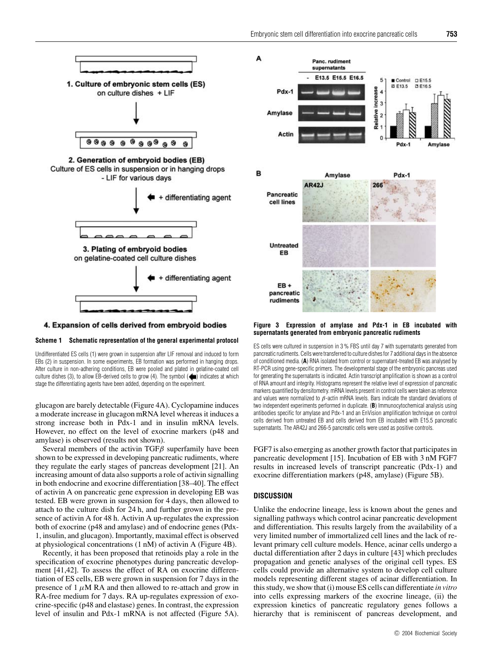





4. Expansion of cells derived from embryoid bodies

#### **Scheme 1 Schematic representation of the general experimental protocol**

Undifferentiated ES cells (1) were grown in suspension after LIF removal and induced to form EBs (2) in suspension. In some experiments, EB formation was performed in hanging drops. After culture in non-adhering conditions, EB were pooled and plated in gelatine-coated cell culture dishes (3), to allow EB-derived cells to grow (4). The symbol  $(\blacktriangleleft)$  indicates at which stage the differentiating agents have been added, depending on the experiment.

glucagon are barely detectable (Figure 4A). Cyclopamine induces a moderate increase in glucagon mRNA level whereas it induces a strong increase both in Pdx-1 and in insulin mRNA levels. However, no effect on the level of exocrine markers (p48 and amylase) is observed (results not shown).

Several members of the activin TGF*β* superfamily have been shown to be expressed in developing pancreatic rudiments, where they regulate the early stages of pancreas development [21]. An increasing amount of data also supports a role of activin signalling in both endocrine and exocrine differentiation [38–40]. The effect of activin A on pancreatic gene expression in developing EB was tested. EB were grown in suspension for 4 days, then allowed to attach to the culture dish for 24 h, and further grown in the presence of activin A for 48 h. Activin A up-regulates the expression both of exocrine (p48 and amylase) and of endocrine genes (Pdx-1, insulin, and glucagon). Importantly, maximal effect is observed at physiological concentrations (1 nM) of activin A (Figure 4B).

Recently, it has been proposed that retinoids play a role in the specification of exocrine phenotypes during pancreatic development [41,42]. To assess the effect of RA on exocrine differentiation of ES cells, EB were grown in suspension for 7 days in the presence of  $1 \mu M RA$  and then allowed to re-attach and grow in RA-free medium for 7 days. RA up-regulates expression of exocrine-specific (p48 and elastase) genes. In contrast, the expression level of insulin and Pdx-1 mRNA is not affected (Figure 5A).



#### **Figure 3 Expression of amylase and Pdx-1 in EB incubated with supernatants generated from embryonic pancreatic rudiments**

ES cells were cultured in suspension in 3 % FBS until day 7 with supernatants generated from pancreatic rudiments. Cells were transferred to culture dishes for 7 additional days in the absence of conditioned media. (**A**) RNA isolated from control or supernatant-treated EB was analysed by RT-PCR using gene-specific primers. The developmental stage of the embryonic pancreas used for generating the supernatants is indicated. Actin transcript amplification is shown as a control of RNA amount and integrity. Histograms represent the relative level of expression of pancreatic markers quantified by densitometry. mRNA levels present in control cells were taken as reference and values were normalized to  $\beta$ -actin mRNA levels. Bars indicate the standard deviations of two independent experiments performed in duplicate. (**B**) Immunocytochemical analysis using antibodies specific for amylase and Pdx-1 and an EnVision amplification technique on control cells derived from untreated EB and cells derived from EB incubated with E15.5 pancreatic supernatants. The AR42J and 266-5 pancreatic cells were used as positive controls.

FGF7 is also emerging as another growth factor that participates in pancreatic development [15]. Incubation of EB with 3 nM FGF7 results in increased levels of transcript pancreatic (Pdx-1) and exocrine differentiation markers (p48, amylase) (Figure 5B).

## **DISCUSSION**

Unlike the endocrine lineage, less is known about the genes and signalling pathways which control acinar pancreatic development and differentiation. This results largely from the availability of a very limited number of immortalized cell lines and the lack of relevant primary cell culture models. Hence, acinar cells undergo a ductal differentiation after 2 days in culture [43] which precludes propagation and genetic analyses of the original cell types. ES cells could provide an alternative system to develop cell culture models representing different stages of acinar differentiation. In this study, we show that (i) mouse ES cells can differentiate *in vitro* into cells expressing markers of the exocrine lineage, (ii) the expression kinetics of pancreatic regulatory genes follows a hierarchy that is reminiscent of pancreas development, and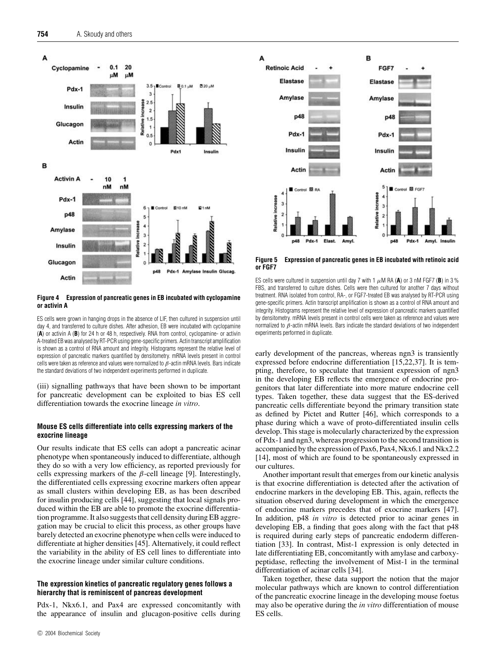

#### **Figure 4 Expression of pancreatic genes in EB incubated with cyclopamine or activin A**

ES cells were grown in hanging drops in the absence of LIF, then cultured in suspension until day 4, and transferred to culture dishes. After adhesion, EB were incubated with cyclopamine (**A**) or activin A (**B**) for 24 h or 48 h, respectively. RNA from control, cyclopamine- or activin A-treated EB was analysed by RT-PCR using gene-specific primers. Actin transcript amplification is shown as a control of RNA amount and integrity. Histograms represent the relative level of expression of pancreatic markers quantified by densitometry. mRNA levels present in control cells were taken as reference and values were normalized to  $\beta$ -actin mRNA levels. Bars indicate the standard deviations of two independent experiments performed in duplicate.

(iii) signalling pathways that have been shown to be important for pancreatic development can be exploited to bias ES cell differentiation towards the exocrine lineage *in vitro*.

## **Mouse ES cells differentiate into cells expressing markers of the exocrine lineage**

Our results indicate that ES cells can adopt a pancreatic acinar phenotype when spontaneously induced to differentiate, although they do so with a very low efficiency, as reported previously for cells expressing markers of the  $\beta$ -cell lineage [9]. Interestingly, the differentiated cells expressing exocrine markers often appear as small clusters within developing EB, as has been described for insulin producing cells [44], suggesting that local signals produced within the EB are able to promote the exocrine differentiation programme. It also suggests that cell density during EB aggregation may be crucial to elicit this process, as other groups have barely detected an exocrine phenotype when cells were induced to differentiate at higher densities [45]. Alternatively, it could reflect the variability in the ability of ES cell lines to differentiate into the exocrine lineage under similar culture conditions.

## **The expression kinetics of pancreatic regulatory genes follows a hierarchy that is reminiscent of pancreas development**

Pdx-1, Nkx6.1, and Pax4 are expressed concomitantly with the appearance of insulin and glucagon-positive cells during



**Figure 5 Expression of pancreatic genes in EB incubated with retinoic acid or FGF7**

ES cells were cultured in suspension until day 7 with 1  $\mu$ M RA (A) or 3 nM FGF7 (B) in 3 % FBS, and transferred to culture dishes. Cells were then cultured for another 7 days without treatment. RNA isolated from control, RA-, or FGF7-treated EB was analysed by RT-PCR using gene-specific primers. Actin transcript amplification is shown as a control of RNA amount and integrity. Histograms represent the relative level of expression of pancreatic markers quantified by densitometry. mRNA levels present in control cells were taken as reference and values were normalized to  $β$ -actin mRNA levels. Bars indicate the standard deviations of two independent experiments performed in duplicate.

early development of the pancreas, whereas ngn3 is transiently expressed before endocrine differentiation [15,22,37]. It is tempting, therefore, to speculate that transient expression of ngn3 in the developing EB reflects the emergence of endocrine progenitors that later differentiate into more mature endocrine cell types. Taken together, these data suggest that the ES-derived pancreatic cells differentiate beyond the primary transition state as defined by Pictet and Rutter [46], which corresponds to a phase during which a wave of proto-differentiated insulin cells develop. This stage is molecularly characterized by the expression of Pdx-1 and ngn3, whereas progression to the second transition is accompanied by the expression of Pax6, Pax4, Nkx6.1 and Nkx2.2 [14], most of which are found to be spontaneously expressed in our cultures.

Another important result that emerges from our kinetic analysis is that exocrine differentiation is detected after the activation of endocrine markers in the developing EB. This, again, reflects the situation observed during development in which the emergence of endocrine markers precedes that of exocrine markers [47]. In addition, p48 *in vitro* is detected prior to acinar genes in developing EB, a finding that goes along with the fact that p48 is required during early steps of pancreatic endoderm differentiation [33]. In contrast, Mist-1 expression is only detected in late differentiating EB, concomitantly with amylase and carboxypeptidase, reflecting the involvement of Mist-1 in the terminal differentiation of acinar cells [34].

Taken together, these data support the notion that the major molecular pathways which are known to control differentiation of the pancreatic exocrine lineage in the developing mouse foetus may also be operative during the *in vitro* differentiation of mouse ES cells.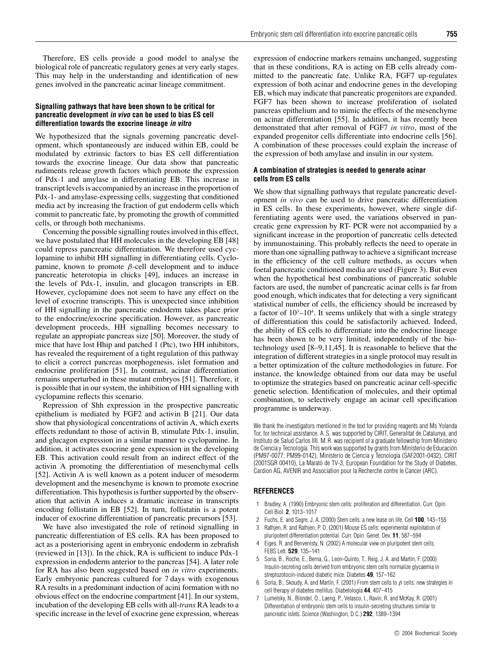Therefore, ES cells provide a good model to analyse the biological role of pancreatic regulatory genes at very early stages. This may help in the understanding and identification of new genes involved in the pancreatic acinar lineage commitment.

## **Signalling pathways that have been shown to be critical for pancreatic development in vivo can be used to bias ES cell differentiation towards the exocrine lineage in vitro**

We hypothesized that the signals governing pancreatic development, which spontaneously are induced within EB, could be modulated by extrinsic factors to bias ES cell differentiation towards the exocrine lineage. Our data show that pancreatic rudiments release growth factors which promote the expression of Pdx-1 and amylase in differentiating EB. This increase in transcript levels is accompanied by an increase in the proportion of Pdx-1- and amylase-expressing cells, suggesting that conditioned media act by increasing the fraction of gut endoderm cells which commit to pancreatic fate, by promoting the growth of committed cells, or through both mechanisms.

Concerning the possible signalling routes involved in this effect, we have postulated that HH molecules in the developing EB [48] could repress pancreatic differentiation. We therefore used cyclopamine to inhibit HH signalling in differentiating cells. Cyclopamine, known to promote *β*-cell development and to induce pancreatic heterotopia in chicks [49], induces an increase in the levels of Pdx-1, insulin, and glucagon transcripts in EB. However, cyclopamine does not seem to have any effect on the level of exocrine transcripts. This is unexpected since inhibition of HH signalling in the pancreatic endoderm takes place prior to the endocrine/exocrine specification. However, as pancreatic development proceeds, HH signalling becomes necessary to regulate an appropiate pancreas size [50]. Moreover, the study of mice that have lost Hhip and patched 1 (Ptc), two HH inhibitors, has revealed the requirement of a tight regulation of this pathway to elicit a correct pancreas morphogenesis, islet formation and endocrine proliferation [51]. In contrast, acinar differentiation remains unperturbed in these mutant embryos [51]. Therefore, it is possible that in our system, the inhibition of HH signalling with cyclopamine reflects this scenario.

Repression of Shh expression in the prospective pancreatic epithelium is mediated by FGF2 and activin B [21]. Our data show that physiological concentrations of activin A, which exerts effects redundant to those of activin B, stimulate Pdx-1, insulin, and glucagon expression in a similar manner to cyclopamine. In addition, it activates exocrine gene expression in the developing EB. This activation could result from an indirect effect of the activin A promoting the differentiation of mesenchymal cells [52]. Activin A is well known as a potent inducer of mesoderm development and the mesenchyme is known to promote exocrine differentiation. This hypothesis is further supported by the observation that activin A induces a dramatic increase in transcripts encoding follistatin in EB [52]. In turn, follistatin is a potent inducer of exocrine differentiation of pancreatic precursors [53].

We have also investigated the role of retinoid signalling in pancreatic differentiation of ES cells. RA has been proposed to act as a posteriorising agent in embryonic endoderm in zebrafish (reviewed in [13]). In the chick, RA is sufficient to induce Pdx-1 expression in endoderm anterior to the pancreas [54]. A later role for RA has also been suggested based on *in vitro* experiments. Early embryonic pancreas cultured for 7 days with exogenous RA results in a predominant induction of acini formation with no obvious effect on the endocrine compartment [41]. In our system, incubation of the developing EB cells with all-*trans* RA leads to a specific increase in the level of exocrine gene expression, whereas

expression of endocrine markers remains unchanged, suggesting that in these conditions, RA is acting on EB cells already committed to the pancreatic fate. Unlike RA, FGF7 up-regulates expression of both acinar and endocrine genes in the developing EB, which may indicate that pancreatic progenitors are expanded. FGF7 has been shown to increase proliferation of isolated pancreas epithelium and to mimic the effects of the mesenchyme on acinar differentiation [55]. In addition, it has recently been demonstrated that after removal of FGF7 *in vitro*, most of the expanded progenitor cells differentiate into endocrine cells [56]. A combination of these processes could explain the increase of the expression of both amylase and insulin in our system.

## **A combination of strategies is needed to generate acinar cells from ES cells**

We show that signalling pathways that regulate pancreatic development *in vivo* can be used to drive pancreatic differentiation in ES cells. In these experiments, however, where single differentiating agents were used, the variations observed in pancreatic gene expression by RT- PCR were not accompanied by a significant increase in the proportion of pancreatic cells detected by immunostaining. This probably reflects the need to operate in more than one signalling pathway to achieve a significant increase in the efficiency of the cell culture methods, as occurs when foetal pancreatic conditioned media are used (Figure 3). But even when the hypothetical best combinations of pancreatic soluble factors are used, the number of pancreatic acinar cells is far from good enough, which indicates that for detecting a very significant statistical number of cells, the efficiency should be increased by a factor of  $10^3 - 10^4$ . It seems unlikely that with a single strategy of differentiation this could be satisfactorily achieved. Indeed, the ability of ES cells to differentiate into the endocrine lineage has been shown to be very limited, independently of the biotechnology used [8–9,11,45]. It is reasonable to believe that the integration of different strategies in a single protocol may result in a better optimization of the culture methodologies in future. For instance, the knowledge obtained from our data may be useful to optimize the strategies based on pancreatic acinar cell-specific genetic selection. Identification of molecules, and their optimal combination, to selectively engage an acinar cell specification programme is underway.

We thank the investigators mentioned in the text for providing reagents and Ms Yolanda Tor, for technical assistance. A. S. was supported by CIRIT, Generalitat de Catalunya, and Instituto de Salud Carlos IIII. M. R. was recipient of a graduate fellowship from Ministerio de Ciencia y Tecnología. This work was supported by grants from Ministerio de Educación (PM97-0077; PM99-0142), Ministerio de Ciencia y Tecnología (SAF2001-0432), CIRIT (2001SGR 00410), La Marató de TV-3, European Foundation for the Study of Diabetes, Cardion AG, AVENIR and Association pour la Recherche contre le Cancer (ARC).

## **REFERENCES**

- 1 Bradley, A. (1990) Embryonic stem cells: proliferation and differentiation. Curr. Opin. Cell Biol. **2**, 1013–1017
- 2 Fuchs, E. and Segre, J. A. (2000) Stem cells: a new lease on life. Cell **100**, 143–155
- 3 Rathjen, R. and Rathjen, P. D. (2001) Mouse ES cells: experimental exploitation of pluripotent differentiation potential. Curr. Opin. Genet. Dev. **11**, 587–594
- Eiges, R. and Benvenisty, N. (2002) A molecular view on pluripotent stem cells. FEBS Lett. **529**, 135–141
- 5 Soria, B., Roche, E., Berna, G., Leon-Quinto, T., Reig, J. A. and Martin, F. (2000) Insulin-secreting cells derived from embryonic stem cells normalize glycaemia in streptozotocin-induced diabetic mice. Diabetes **49**, 157–162
- 6 Soria, B., Skoudy, A. and Martin, F. (2001) From stem cells to  $\beta$  cells: new strategies in cell therapy of diabetes mellitus. Diabetologia **44**, 407–415
- 7 Lumelsky, N., Blondel, O., Laeng, P., Velasco, I., Ravin, R. and McKay, R. (2001) Differentiation of embryonic stem cells to insulin-secreting structures similar to pancreatic islets. Science (Washington, D.C.) **292**, 1389–1394